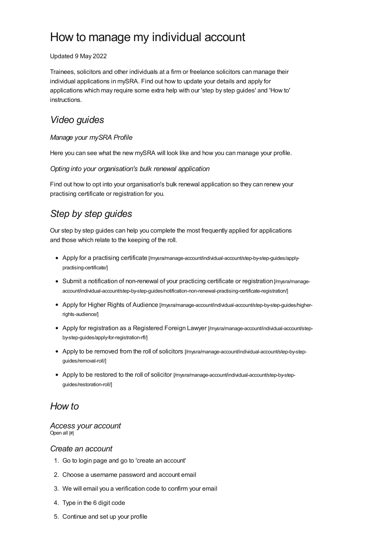# How to manage my individual account

#### Updated 9 May 2022

Trainees, solicitors and other individuals at a firm or freelance solicitors can manage their individual applications in mySRA. Find out how to update your details and apply for applications which may require some extra help with our 'step by step guides' and 'How to' instructions.

# *Video guides*

### *Manage your mySRA Profile*

Here you can see what the new mySRA will look like and how you can manage your profile.

### *Opting into your organisation's bulk renewal application*

Find out how to opt into your organisation's bulk renewal application so they can renew your practising certificate or registration for you.

# *Step by step guides*

Our step by step guides can help you complete the most frequently applied for applications and those which relate to the keeping of the roll.

- Apply for a practising certificate [\[/mysra/manage-account/individual-account/step-by-step-guides/apply](https://www.sra.org.uk/mysra/manage-account/individual-account/step-by-step-guides/apply-practising-certificate/)practising-certificate/]
- Submit a notification of non-renewal of your practicing certificate or registration [/mysra/manage[account/individual-account/step-by-step-guides/notification-non-renewal-practising-certificate-registration/\]](https://www.sra.org.uk/mysra/manage-account/individual-account/step-by-step-guides/notification-non-renewal-practising-certificate-registration/)
- Apply for Higher Rights of Audience [\[/mysra/manage-account/individual-account/step-by-step-guides/higher](https://www.sra.org.uk/mysra/manage-account/individual-account/step-by-step-guides/higher-rights-audience/)rights-audience/]
- Apply for registration as a Registered Foreign Lawyer [\[/mysra/manage-account/individual-account/step](https://www.sra.org.uk/mysra/manage-account/individual-account/step-by-step-guides/apply-for-registration-rfl/)by-step-guides/apply-for-registration-rfl/]
- Apply to be removed from the roll of solicitors [\[/mysra/manage-account/individual-account/step-by-step](https://www.sra.org.uk/mysra/manage-account/individual-account/step-by-step-guides/removal-roll/)guides/removal-roll/]
- Apply to be restored to the roll of solicitor [\[/mysra/manage-account/individual-account/step-by-step](https://www.sra.org.uk/mysra/manage-account/individual-account/step-by-step-guides/restoration-roll/)guides/restoration-roll/]

## *How to*

#### *Access your account* Open all [#]

### *Create an [account](#page-0-0)*

- <span id="page-0-0"></span>1. Go to login page and go to 'create an account'
- 2. Choose a username password and account email
- 3. We will email you a verification code to confirm your email
- 4. Type in the 6 digit code
- 5. Continue and set up your profile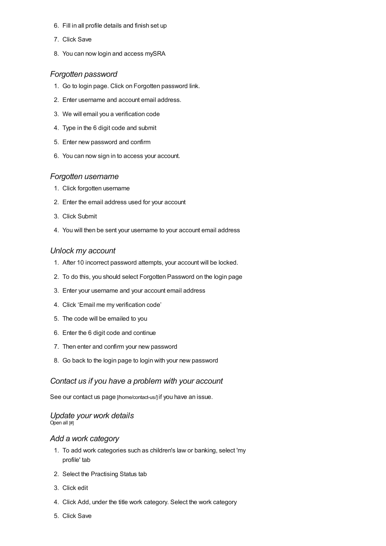- 6. Fill in all profile details and finish set up
- 7. Click Save
- 8. You can now login and access mySRA

#### *[Forgotten](#page-1-0) password*

- <span id="page-1-0"></span>1. Go to login page. Click on Forgotten password link.
- 2. Enter username and account email address.
- 3. We will email you a verification code
- 4. Type in the 6 digit code and submit
- 5. Enter new password and confirm
- 6. You can now sign in to access your account.

#### *Forgotten [username](#page-1-1)*

- <span id="page-1-1"></span>1. Click forgotten username
- 2. Enter the email address used for your account
- 3. Click Submit
- 4. You will then be sent your username to your account email address

#### *Unlock my [account](#page-1-2)*

- <span id="page-1-2"></span>1. After 10 incorrect password attempts, your account will be locked.
- 2. To do this, you should select Forgotten Password on the login page
- 3. Enter your username and your account email address
- 4. Click 'Email me my verification code'
- 5. The code will be emailed to you
- 6. Enter the 6 digit code and continue
- 7. Then enter and confirm your new password
- 8. Go back to the login page to login with your new password

### *Contact us if you have a [problem](#page-1-3) with your account*

<span id="page-1-3"></span>See our contact us page [\[/home/contact-us/\]](https://www.sra.org.uk/home/contact-us/) if you have an issue.

#### *Update your work details* Open all [#]

#### *Add a work [category](#page-1-4)*

- <span id="page-1-4"></span>1. To add work categories such as children's law or banking, select 'my profile' tab
- 2. Select the Practising Status tab
- 3. Click edit
- 4. Click Add, under the title work category. Select the work category
- 5. Click Save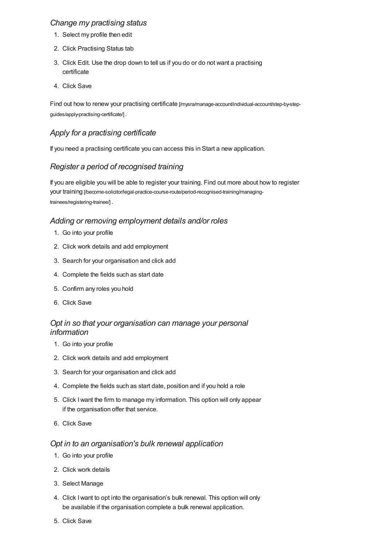### *Change my [practising](#page-2-0) status*

- <span id="page-2-0"></span>1. Select my profile then edit
- 2. Click Practising Status tab
- 3. Click Edit. Use the drop down to tell us if you do or do not want a practising certificate
- 4. Click Save

Find out how to renew your practising certificate [\[/mysra/manage-account/individual-account/step-by-step](https://www.sra.org.uk/mysra/manage-account/individual-account/step-by-step-guides/apply-practising-certificate/)guides/apply-practising-certificate/] .

### *Apply for a [practising](#page-2-1) certificate*

<span id="page-2-1"></span>If you need a practising certificate you can access this in Start a new application.

### *Register a period of [recognised](#page-2-2) training*

<span id="page-2-2"></span>If you are eligible you will be able to register your training. Find out more about how to register your training [\[/become-solicitor/legal-practice-course-route/period-recognised-training/managing](https://www.sra.org.uk/become-solicitor/legal-practice-course-route/period-recognised-training/managing-trainees/registering-trainee/)trainees/registering-trainee/] .

### *Adding or removing [employment](#page-2-3) details and/or roles*

- <span id="page-2-3"></span>1. Go into your profile
- 2. Click work details and add employment
- 3. Search for your organisation and click add
- 4. Complete the fields such as start date
- 5. Confirm any roles you hold
- 6. Click Save

### *Opt in so that your [organisation](#page-2-4) can manage your personal information*

- <span id="page-2-4"></span>1. Go into your profile
- 2. Click work details and add employment
- 3. Search for your organisation and click add
- 4. Complete the fields such as start date, position and if you hold a role
- 5. Click Iwant the firm to manage my information. This option will only appear if the organisation offer that service.
- 6. Click Save

### *Opt in to an [organisation's](#page-2-5) bulk renewal application*

- <span id="page-2-5"></span>1. Go into your profile
- 2. Click work details
- 3. Select Manage
- 4. Click Iwant to opt into the organisation's bulk renewal. This option will only be available if the organisation complete a bulk renewal application.
- 5. Click Save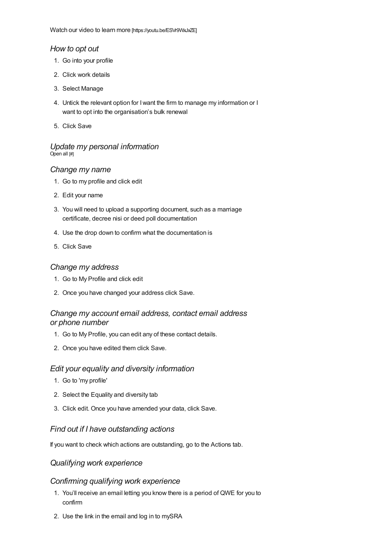### *[How](#page-3-0) to opt out*

- <span id="page-3-0"></span>1. Go into your profile
- 2. Click work details
- 3. Select Manage
- 4. Untick the relevant option for Iwant the firm to manage my information or I want to opt into the organisation's bulk renewal
- 5. Click Save

#### *Update my personal information* Open all [#]

### *[Change](#page-3-1) my name*

- <span id="page-3-1"></span>1. Go to my profile and click edit
- 2. Edit your name
- 3. You will need to upload a supporting document, such as a marriage certificate, decree nisi or deed poll documentation
- 4. Use the drop down to confirm what the documentation is
- 5. Click Save

### *[Change](#page-3-2) my address*

- <span id="page-3-2"></span>1. Go to My Profile and click edit
- 2. Once you have changed your address click Save.

### *Change my account email [address,](#page-3-3) contact email address or phone number*

- <span id="page-3-3"></span>1. Go to My Profile, you can edit any of these contact details.
- 2. Once you have edited them click Save.

### *Edit your equality and diversity [information](#page-3-4)*

- <span id="page-3-4"></span>1. Go to 'my profile'
- 2. Select the Equality and diversity tab
- 3. Click edit. Once you have amended your data, click Save.

### *Find out if I have [outstanding](#page-3-5) actions*

<span id="page-3-5"></span>If you want to check which actions are outstanding, go to the Actions tab.

### *Qualifying work experience*

### *[Confirming](#page-4-0) qualifying work experience*

- 1. You'll receive an email letting you know there is a period of QWE for you to confirm
- 2. Use the link in the email and log in to mySRA